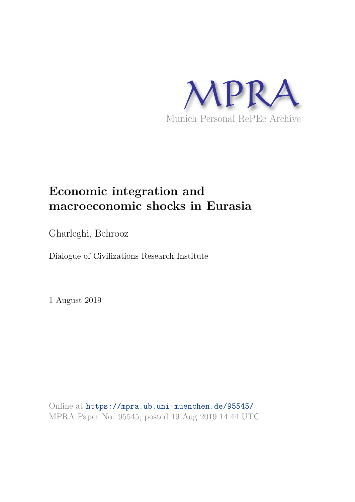

# **Economic integration and macroeconomic shocks in Eurasia**

Gharleghi, Behrooz

Dialogue of Civilizations Research Institute

1 August 2019

Online at https://mpra.ub.uni-muenchen.de/95545/ MPRA Paper No. 95545, posted 19 Aug 2019 14:44 UTC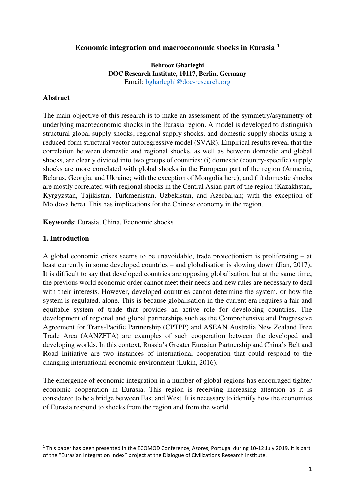# **Economic integration and macroeconomic shocks in Eurasia <sup>1</sup>**

**Behrooz Gharleghi DOC Research Institute, 10117, Berlin, Germany**  Email: [bgharleghi@doc-research.org](mailto:bgharleghi@doc-research.org) 

#### **Abstract**

The main objective of this research is to make an assessment of the symmetry/asymmetry of underlying macroeconomic shocks in the Eurasia region. A model is developed to distinguish structural global supply shocks, regional supply shocks, and domestic supply shocks using a reduced-form structural vector autoregressive model (SVAR). Empirical results reveal that the correlation between domestic and regional shocks, as well as between domestic and global shocks, are clearly divided into two groups of countries: (i) domestic (country-specific) supply shocks are more correlated with global shocks in the European part of the region (Armenia, Belarus, Georgia, and Ukraine; with the exception of Mongolia here); and (ii) domestic shocks are mostly correlated with regional shocks in the Central Asian part of the region (Kazakhstan, Kyrgyzstan, Tajikistan, Turkmenistan, Uzbekistan, and Azerbaijan; with the exception of Moldova here). This has implications for the Chinese economy in the region.

**Keywords**: Eurasia, China, Economic shocks

## **1. Introduction**

<u>.</u>

A global economic crises seems to be unavoidable, trade protectionism is proliferating – at least currently in some developed countries – and globalisation is slowing down (Jian, 2017). It is difficult to say that developed countries are opposing globalisation, but at the same time, the previous world economic order cannot meet their needs and new rules are necessary to deal with their interests. However, developed countries cannot determine the system, or how the system is regulated, alone. This is because globalisation in the current era requires a fair and equitable system of trade that provides an active role for developing countries. The development of regional and global partnerships such as the Comprehensive and Progressive Agreement for Trans-Pacific Partnership (CPTPP) and ASEAN Australia New Zealand Free Trade Area (AANZFTA) are examples of such cooperation between the developed and developing worlds. In this context, Russia's Greater Eurasian Partnership and China's Belt and Road Initiative are two instances of international cooperation that could respond to the changing international economic environment (Lukin, 2016).

The emergence of economic integration in a number of global regions has encouraged tighter economic cooperation in Eurasia. This region is receiving increasing attention as it is considered to be a bridge between East and West. It is necessary to identify how the economies of Eurasia respond to shocks from the region and from the world.

<sup>&</sup>lt;sup>1</sup> This paper has been presented in the ECOMOD Conference, Azores, Portugal during 10-12 July 2019. It is part of the "Eurasian Integration Index" project at the Dialogue of Civilizations Research Institute.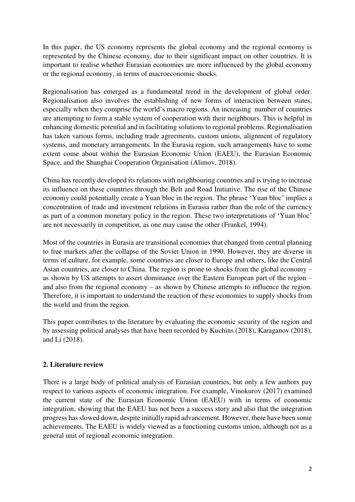In this paper, the US economy represents the global economy and the regional economy is represented by the Chinese economy, due to their significant impact on other countries. It is important to realise whether Eurasian economies are more influenced by the global economy or the regional economy, in terms of macroeconomic shocks.

Regionalisation has emerged as a fundamental trend in the development of global order. Regionalisation also involves the establishing of new forms of interaction between states, especially when they comprise the world's macro regions. An increasing number of countries are attempting to form a stable system of cooperation with their neighbours. This is helpful in enhancing domestic potential and in facilitating solutions to regional problems. Regionalisation has taken various forms, including trade agreements, custom unions, alignment of regulatory systems, and monetary arrangements. In the Eurasia region, such arrangements have to some extent come about within the Eurasian Economic Union (EAEU), the Eurasian Economic Space, and the Shanghai Cooperation Organisation (Alimov, 2018).

China has recently developed its relations with neighbouring countries and is trying to increase its influence on these countries through the Belt and Road Initiative. The rise of the Chinese economy could potentially create a Yuan bloc in the region. The phrase 'Yuan bloc' implies a concentration of trade and investment relations in Eurasia rather than the role of the currency as part of a common monetary policy in the region. These two interpretations of 'Yuan bloc' are not necessarily in competition, as one may cause the other (Frankel, 1994).

Most of the countries in Eurasia are transitional economies that changed from central planning to free markets after the collapse of the Soviet Union in 1990. However, they are diverse in terms of culture, for example, some countries are closer to Europe and others, like the Central Asian countries, are closer to China. The region is prone to shocks from the global economy – as shown by US attempts to assert dominance over the Eastern European part of the region – and also from the regional economy – as shown by Chinese attempts to influence the region. Therefore, it is important to understand the reaction of these economies to supply shocks from the world and from the region.

This paper contributes to the literature by evaluating the economic security of the region and by assessing political analyses that have been recorded by Kuchins (2018), Karaganov (2018), and Li (2018).

# **2. Literature review**

There is a large body of political analysis of Eurasian countries, but only a few authors pay respect to various aspects of economic integration. For example, Vinokurov (2017) examined the current state of the Eurasian Economic Union (EAEU) with in terms of economic integration, showing that the EAEU has not been a success story and also that the integration progress has slowed down, despite initially rapid advancement. However, there have been some achievements. The EAEU is widely viewed as a functioning customs union, although not as a general unit of regional economic integration.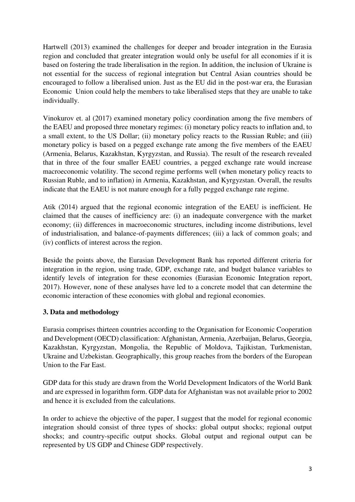Hartwell (2013) examined the challenges for deeper and broader integration in the Eurasia region and concluded that greater integration would only be useful for all economies if it is based on fostering the trade liberalisation in the region. In addition, the inclusion of Ukraine is not essential for the success of regional integration but Central Asian countries should be encouraged to follow a liberalised union. Just as the EU did in the post-war era, the Eurasian Economic Union could help the members to take liberalised steps that they are unable to take individually.

Vinokurov et. al (2017) examined monetary policy coordination among the five members of the EAEU and proposed three monetary regimes: (i) monetary policy reacts to inflation and, to a small extent, to the US Dollar; (ii) monetary policy reacts to the Russian Ruble; and (iii) monetary policy is based on a pegged exchange rate among the five members of the EAEU (Armenia, Belarus, Kazakhstan, Kyrgyzstan, and Russia). The result of the research revealed that in three of the four smaller EAEU countries, a pegged exchange rate would increase macroeconomic volatility. The second regime performs well (when monetary policy reacts to Russian Ruble, and to inflation) in Armenia, Kazakhstan, and Kyrgyzstan. Overall, the results indicate that the EAEU is not mature enough for a fully pegged exchange rate regime.

Atik (2014) argued that the regional economic integration of the EAEU is inefficient. He claimed that the causes of inefficiency are: (i) an inadequate convergence with the market economy; (ii) differences in macroeconomic structures, including income distributions, level of industrialisation, and balance-of-payments differences; (iii) a lack of common goals; and (iv) conflicts of interest across the region.

Beside the points above, the Eurasian Development Bank has reported different criteria for integration in the region, using trade, GDP, exchange rate, and budget balance variables to identify levels of integration for these economies (Eurasian Economic Integration report, 2017). However, none of these analyses have led to a concrete model that can determine the economic interaction of these economies with global and regional economies.

# **3. Data and methodology**

Eurasia comprises thirteen countries according to the Organisation for Economic Cooperation and Development (OECD) classification: Afghanistan, Armenia, Azerbaijan, Belarus, Georgia, Kazakhstan, Kyrgyzstan, Mongolia, the Republic of Moldova, Tajikistan, Turkmenistan, Ukraine and Uzbekistan. Geographically, this group reaches from the borders of the European Union to the Far East.

GDP data for this study are drawn from the World Development Indicators of the World Bank and are expressed in logarithm form. GDP data for Afghanistan was not available prior to 2002 and hence it is excluded from the calculations.

In order to achieve the objective of the paper, I suggest that the model for regional economic integration should consist of three types of shocks: global output shocks; regional output shocks; and country-specific output shocks. Global output and regional output can be represented by US GDP and Chinese GDP respectively.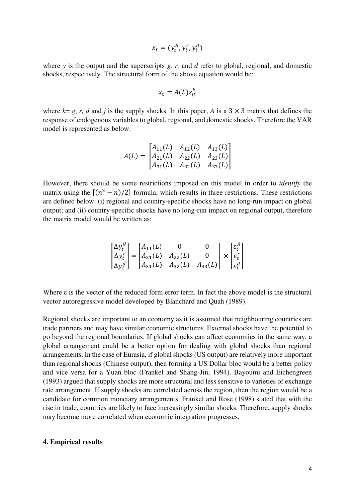$$
x_t = (y_t^g, y_t^r, y_t^d)
$$

where *y* is the output and the superscripts *g, r,* and *d* refer to global, regional, and domestic shocks, respectively. The structural form of the above equation would be:

$$
x_t = A(L)\varepsilon_{jt}^k
$$

where  $k = g, r, d$  and *j* is the supply shocks. In this paper, *A* is a  $3 \times 3$  matrix that defines the response of endogenous variables to global, regional, and domestic shocks. Therefore the VAR model is represented as below:

$$
A(L) = \begin{bmatrix} A_{11}(L) & A_{12}(L) & A_{13}(L) \\ A_{21}(L) & A_{22}(L) & A_{23}(L) \\ A_{31}(L) & A_{32}(L) & A_{33}(L) \end{bmatrix}
$$

However, there should be some restrictions imposed on this model in order to *identify* the matrix using the  $[(n^2 - n)/2]$  formula, which results in three restrictions. These restrictions are defined below: (i) regional and country-specific shocks have no long-run impact on global output; and (ii) country-specific shocks have no long-run impact on regional output, therefore the matrix model would be written as:

$$
\begin{bmatrix} \Delta y_t^g \\ \Delta y_t^r \\ \Delta y_t^d \end{bmatrix} = \begin{bmatrix} A_{11}(L) & 0 & 0 \\ A_{21}(L) & A_{22}(L) & 0 \\ A_{31}(L) & A_{32}(L) & A_{33}(L) \end{bmatrix} \times \begin{bmatrix} \varepsilon_t^g \\ \varepsilon_t^r \\ \varepsilon_t^d \end{bmatrix}
$$

Where ε is the vector of the reduced form error term. In fact the above model is the structural vector autoregressive model developed by Blanchard and Quah (1989).

Regional shocks are important to an economy as it is assumed that neighbouring countries are trade partners and may have similar economic structures. External shocks have the potential to go beyond the regional boundaries. If global shocks can affect economies in the same way, a global arrangement could be a better option for dealing with global shocks than regional arrangements. In the case of Eurasia, if global shocks (US output) are relatively more important than regional shocks (Chinese output), then forming a US Dollar bloc would be a better policy and vice versa for a Yuan bloc (Frankel and Shang-Jin, 1994). Bayoumi and Eichengreen (1993) argued that supply shocks are more structural and less sensitive to varieties of exchange rate arrangement. If supply shocks are correlated across the region, then the region would be a candidate for common monetary arrangements. Frankel and Rose (1998) stated that with the rise in trade, countries are likely to face increasingly similar shocks. Therefore, supply shocks may become more correlated when economic integration progresses.

#### **4. Empirical results**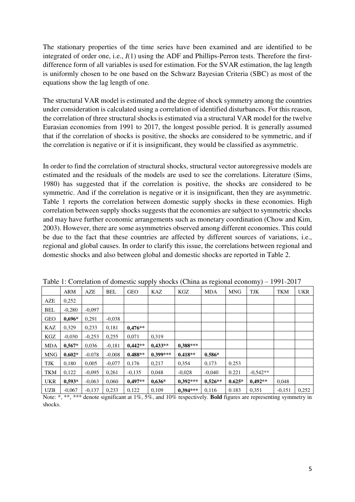The stationary properties of the time series have been examined and are identified to be integrated of order one, i.e., *I*(1) using the ADF and Phillips-Perron tests. Therefore the firstdifference form of all variables is used for estimation. For the SVAR estimation, the lag length is uniformly chosen to be one based on the Schwarz Bayesian Criteria (SBC) as most of the equations show the lag length of one.

The structural VAR model is estimated and the degree of shock symmetry among the countries under consideration is calculated using a correlation of identified disturbances. For this reason, the correlation of three structural shocks is estimated via a structural VAR model for the twelve Eurasian economies from 1991 to 2017, the longest possible period. It is generally assumed that if the correlation of shocks is positive, the shocks are considered to be symmetric, and if the correlation is negative or if it is insignificant, they would be classified as asymmetric.

In order to find the correlation of structural shocks, structural vector autoregressive models are estimated and the residuals of the models are used to see the correlations. Literature (Sims, 1980) has suggested that if the correlation is positive, the shocks are considered to be symmetric. And if the correlation is negative or it is insignificant, then they are asymmetric. Table 1 reports the correlation between domestic supply shocks in these economies. High correlation between supply shocks suggests that the economies are subject to symmetric shocks and may have further economic arrangements such as monetary coordination (Chow and Kim, 2003). However, there are some asymmetries observed among different economies. This could be due to the fact that these countries are affected by different sources of variations, i.e., regional and global causes. In order to clarify this issue, the correlations between regional and domestic shocks and also between global and domestic shocks are reported in Table 2.

|            |            |          |            |            | r r<br>┙   |            | $\circ$    |            | ┙╯         |            |            |
|------------|------------|----------|------------|------------|------------|------------|------------|------------|------------|------------|------------|
|            | <b>ARM</b> | AZE      | <b>BEL</b> | <b>GEO</b> | KAZ        | KGZ        | <b>MDA</b> | <b>MNG</b> | <b>TJK</b> | <b>TKM</b> | <b>UKR</b> |
| AZE        | 0,252      |          |            |            |            |            |            |            |            |            |            |
| <b>BEL</b> | $-0,280$   | $-0.097$ |            |            |            |            |            |            |            |            |            |
| <b>GEO</b> | $0.696*$   | 0.291    | $-0.038$   |            |            |            |            |            |            |            |            |
| KAZ        | 0.329      | 0,233    | 0,181      | $0.476**$  |            |            |            |            |            |            |            |
| KGZ        | $-0.030$   | $-0,253$ | 0,255      | 0.071      | 0.319      |            |            |            |            |            |            |
| <b>MDA</b> | $0.567*$   | 0.036    | $-0.181$   | $0.442**$  | $0.433**$  | $0.388***$ |            |            |            |            |            |
| MNG        | $0.602*$   | $-0.078$ | $-0.008$   | $0.488**$  | $0.399***$ | $0.418**$  | $0.586*$   |            |            |            |            |
| TJK        | 0,180      | 0.005    | $-0.077$   | 0,176      | 0,217      | 0,354      | 0,173      | 0.253      |            |            |            |
| TKM        | 0,122      | $-0.095$ | 0,261      | $-0,135$   | 0,048      | $-0,028$   | $-0,040$   | 0.221      | $-0.542**$ |            |            |
| <b>UKR</b> | $0.593*$   | $-0.063$ | 0,060      | $0.497**$  | $0,636*$   | $0.392***$ | $0,526**$  | $0.625*$   | $0.492**$  | 0,048      |            |
| <b>UZB</b> | $-0.067$   | $-0,137$ | 0,233      | 0,122      | 0,109      | $0.394***$ | 0,116      | 0.183      | 0.351      | $-0.151$   | 0,252      |

Table 1: Correlation of domestic supply shocks (China as regional economy) – 1991-2017

Note: \*, \*\*, \*\*\* denote significant at 1%, 5%, and 10% respectively. **Bold** figures are representing symmetry in shocks.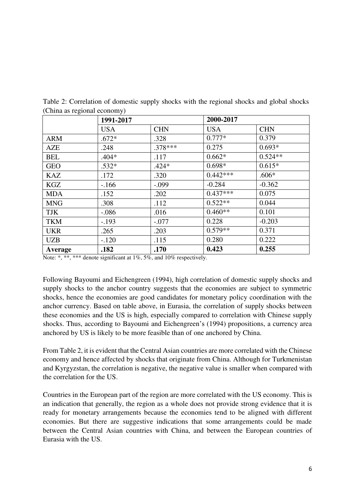|            | 1991-2017  |            | 2000-2017  |            |  |
|------------|------------|------------|------------|------------|--|
|            | <b>USA</b> | <b>CHN</b> | <b>USA</b> | <b>CHN</b> |  |
| <b>ARM</b> | $.672*$    | .328       | $0.777*$   | 0.379      |  |
| AZE        | .248       | $.378***$  | 0.275      | $0.693*$   |  |
| <b>BEL</b> | $.404*$    | .117       | $0.662*$   | $0.524**$  |  |
| <b>GEO</b> | $.532*$    | $.424*$    | $0.698*$   | $0.615*$   |  |
| <b>KAZ</b> | .172       | .320       | $0.442***$ | $.606*$    |  |
| KGZ        | $-166$     | $-.099$    | $-0.284$   | $-0.362$   |  |
| <b>MDA</b> | .152       | .202       | $0.437***$ | 0.075      |  |
| <b>MNG</b> | .308       | .112       | $0.522**$  | 0.044      |  |
| <b>TJK</b> | $-.086$    | .016       | $0.460**$  | 0.101      |  |
| <b>TKM</b> | $-.193$    | $-.077$    | 0.228      | $-0.203$   |  |
| <b>UKR</b> | .265       | .203       | $0.579**$  | 0.371      |  |
| <b>UZB</b> | $-.120$    | .115       | 0.280      | 0.222      |  |
| Average    | .182       | .170       | 0.423      | 0.255      |  |

Table 2: Correlation of domestic supply shocks with the regional shocks and global shocks (China as regional economy)

Note: \*, \*\*, \*\*\* denote significant at 1%, 5%, and 10% respectively.

Following Bayoumi and Eichengreen (1994), high correlation of domestic supply shocks and supply shocks to the anchor country suggests that the economies are subject to symmetric shocks, hence the economies are good candidates for monetary policy coordination with the anchor currency. Based on table above, in Eurasia, the correlation of supply shocks between these economies and the US is high, especially compared to correlation with Chinese supply shocks. Thus, according to Bayoumi and Eichengreen's (1994) propositions, a currency area anchored by US is likely to be more feasible than of one anchored by China.

From Table 2, it is evident that the Central Asian countries are more correlated with the Chinese economy and hence affected by shocks that originate from China. Although for Turkmenistan and Kyrgyzstan, the correlation is negative, the negative value is smaller when compared with the correlation for the US.

Countries in the European part of the region are more correlated with the US economy. This is an indication that generally, the region as a whole does not provide strong evidence that it is ready for monetary arrangements because the economies tend to be aligned with different economies. But there are suggestive indications that some arrangements could be made between the Central Asian countries with China, and between the European countries of Eurasia with the US.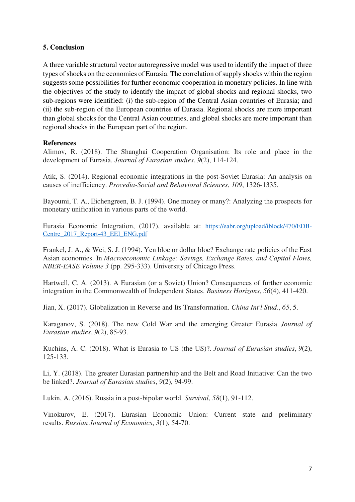# **5. Conclusion**

A three variable structural vector autoregressive model was used to identify the impact of three types of shocks on the economies of Eurasia. The correlation of supply shocks within the region suggests some possibilities for further economic cooperation in monetary policies. In line with the objectives of the study to identify the impact of global shocks and regional shocks, two sub-regions were identified: (i) the sub-region of the Central Asian countries of Eurasia; and (ii) the sub-region of the European countries of Eurasia. Regional shocks are more important than global shocks for the Central Asian countries, and global shocks are more important than regional shocks in the European part of the region.

## **References**

Alimov, R. (2018). The Shanghai Cooperation Organisation: Its role and place in the development of Eurasia. *Journal of Eurasian studies*, *9*(2), 114-124.

Atik, S. (2014). Regional economic integrations in the post-Soviet Eurasia: An analysis on causes of inefficiency. *Procedia-Social and Behavioral Sciences*, *109*, 1326-1335.

Bayoumi, T. A., Eichengreen, B. J. (1994). One money or many?: Analyzing the prospects for monetary unification in various parts of the world.

Eurasia Economic Integration, (2017), available at: [https://eabr.org/upload/iblock/470/EDB-](https://eabr.org/upload/iblock/470/EDB-Centre_2017_Report-43_EEI_ENG.pdf)[Centre\\_2017\\_Report-43\\_EEI\\_ENG.pdf](https://eabr.org/upload/iblock/470/EDB-Centre_2017_Report-43_EEI_ENG.pdf)

Frankel, J. A., & Wei, S. J. (1994). Yen bloc or dollar bloc? Exchange rate policies of the East Asian economies. In *Macroeconomic Linkage: Savings, Exchange Rates, and Capital Flows, NBER-EASE Volume 3* (pp. 295-333). University of Chicago Press.

Hartwell, C. A. (2013). A Eurasian (or a Soviet) Union? Consequences of further economic integration in the Commonwealth of Independent States. *Business Horizons*, *56*(4), 411-420.

Jian, X. (2017). Globalization in Reverse and Its Transformation. *China Int'l Stud.*, *65*, 5.

Karaganov, S. (2018). The new Cold War and the emerging Greater Eurasia. *Journal of Eurasian studies*, *9*(2), 85-93.

Kuchins, A. C. (2018). What is Eurasia to US (the US)?. *Journal of Eurasian studies*, *9*(2), 125-133.

Li, Y. (2018). The greater Eurasian partnership and the Belt and Road Initiative: Can the two be linked?. *Journal of Eurasian studies*, *9*(2), 94-99.

Lukin, A. (2016). Russia in a post-bipolar world. *Survival*, *58*(1), 91-112.

Vinokurov, E. (2017). Eurasian Economic Union: Current state and preliminary results. *Russian Journal of Economics*, *3*(1), 54-70.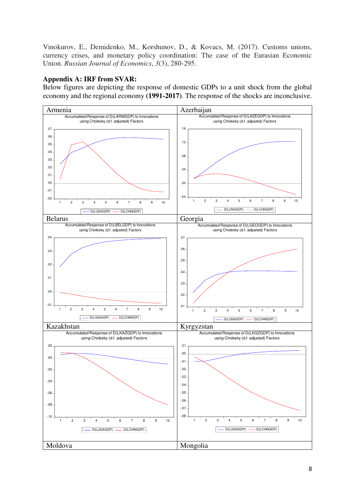Vinokurov, E., Demidenko, M., Korshunov, D., & Kovacs, M. (2017). Customs unions, currency crises, and monetary policy coordination: The case of the Eurasian Economic Union. *Russian Journal of Economics*, *3*(3), 280-295.

# **Appendix A: IRF from SVAR:**

Below figures are depicting the response of domestic GDPs to a unit shock from the global economy and the regional economy **(1991-2017)**. The response of the shocks are inconclusive.